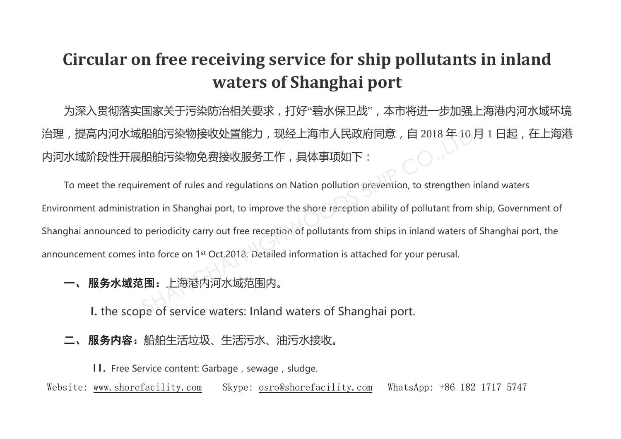## **Circular on free receiving service for ship pollutants in inland waters of Shanghai port**

为深入贯彻落实国家关于污染防治相关要求,打好"碧水保卫战",本市将进一步加强上海港内河水域环境 治理,提高内河水域船舶污染物接收处置能力,现经上海市人民政府同意,自 2018 年 10 月 1 日起,在上海港 内河水域阶段性开展船舶污染物免费接收服务工作,具体事项如下:

To meet the requirement of rules and regulations on Nation pollution prevention, to strengthen inland waters Environment administration in Shanghai port, to improve the shore reception ability of pollutant from ship, Government of Shanghai announced to periodicity carry out free reception of pollutants from ships in inland waters of Shanghai port, the announcement comes into force on 1st Oct.2018. Detailed information is attached for your perusal. 船舶污染物接收处置能力,现经上海市人民政府同意,自 2018 年 10月<br>船舶污染物免费接收服务工作,具体事项如下:<br>rement of rules and regulations on Nation pollution prevention, to strengthen in<br>ation in Shanghai port, to improve the shore reception ability of pollutant from

一、 服务水域范围:上海港内河水域范围内。

**I.** the scope of service waters: Inland waters of Shanghai port.

二、 服务内容:船舶生活垃圾、生活污水、油污水接收。

II. Free Service content: Garbage, sewage, sludge.

Website: [www.shorefacility.com](http://www.shorefacility.com/) Skype: [osro@shorefacility.com](mailto:osro@shorefacility.com) WhatsApp: +86 182 1717 5747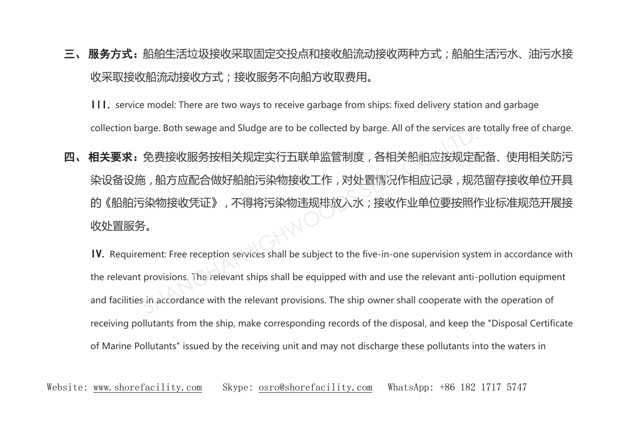## 三、 服务方式:船舶生活垃圾接收采取固定交投点和接收船流动接收两种方式;船舶生活污水、油污水接; 收采取接收船流动接收方式;接收服务不向船方收取费用。

III. service model: There are two ways to receive garbage from ships: fixed delivery station and garbage collection barge. Both sewage and Sludge are to be collected by barge. All of the services are totally free of charge.

四、相关要求:免费接收服务按相关规定实行五联单监管制度,各相关船舶应按规定配备、使用相关防污 染设备设施,船方应配合做好船舶污染物接收工作,对处置情况作相应记录,规范留存接收单位开具 的《船舶污染物接收凭证》,不得将污染物违规排放入水;接收作业单位要按照作业标准规范开展接 收处置服务。 arge: Both sewage and studge are to be conected by barge. An of the services are<br>免费接收服务按相关规定实行五联单监管制度,各相关船舶应按规定西<br>5,船方应配合做好船舶污染物接收工作,对处置情况作相应记录,规范<br>5染物接收凭证》,不得将污染物违规排放入水;接收作业单位要按照作<br>5。<br>sment: Free reception services shall be

IV. Requirement: Free reception services shall be subject to the five-in-one supervision system in accordance with the relevant provisions. The relevant ships shall be equipped with and use the relevant anti-pollution equipment and facilities in accordance with the relevant provisions. The ship owner shall cooperate with the operation of receiving pollutants from the ship, make corresponding records of the disposal, and keep the "Disposal Certificate of Marine Pollutants" issued by the receiving unit and may not discharge these pollutants into the waters in

Website: [www.shorefacility.com](http://www.shorefacility.com/) Skype: [osro@shorefacility.com](mailto:osro@shorefacility.com) WhatsApp: +86 182 1717 5747